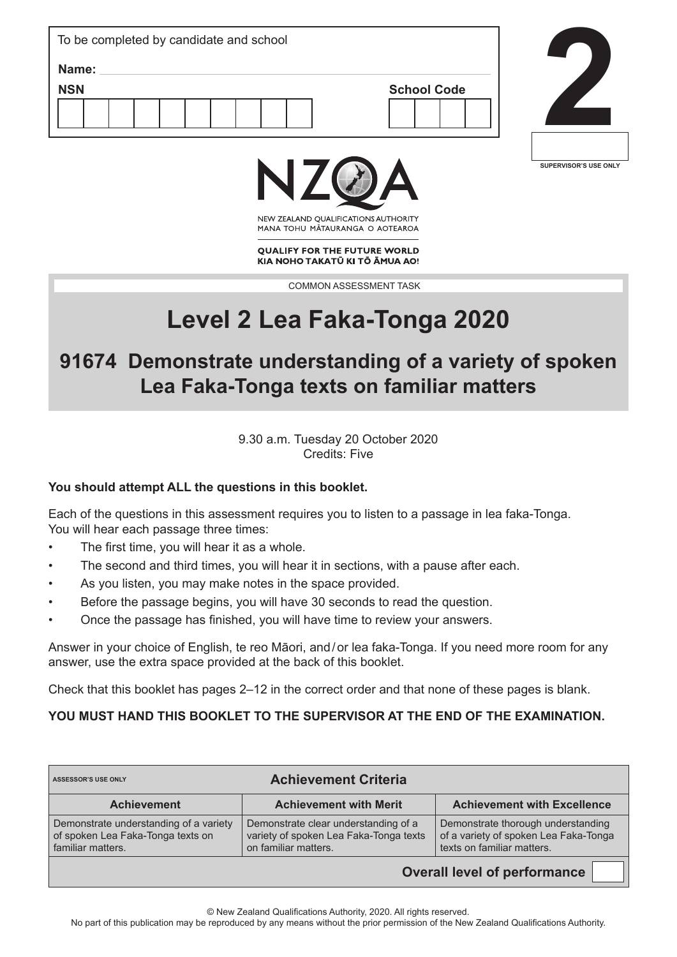| To be completed by candidate and school |                    |
|-----------------------------------------|--------------------|
| Name:<br><b>NSN</b>                     | <b>School Code</b> |
|                                         |                    |
|                                         |                    |





NEW ZEALAND OUALIFICATIONS AUTHORITY MANA TOHU MATAURANGA O AOTEAROA

**OUALIFY FOR THE FUTURE WORLD** KIA NOHO TAKATŪ KI TŌ ĀMUA AO!

COMMON ASSESSMENT TASK

# **Level 2 Lea Faka-Tonga 2020**

**91674 Demonstrate understanding of a variety of spoken Lea Faka-Tonga texts on familiar matters**

> 9.30 a.m. Tuesday 20 October 2020 Credits: Five

#### **You should attempt ALL the questions in this booklet.**

Each of the questions in this assessment requires you to listen to a passage in lea faka-Tonga. You will hear each passage three times:

- The first time, you will hear it as a whole.
- The second and third times, you will hear it in sections, with a pause after each.
- As you listen, you may make notes in the space provided.
- Before the passage begins, you will have 30 seconds to read the question.
- Once the passage has finished, you will have time to review your answers.

Answer in your choice of English, te reo Māori, and/or lea faka-Tonga. If you need more room for any answer, use the extra space provided at the back of this booklet.

Check that this booklet has pages 2–12 in the correct order and that none of these pages is blank.

#### **YOU MUST HAND THIS BOOKLET TO THE SUPERVISOR AT THE END OF THE EXAMINATION.**

| ASSESSOR'S USE ONLY                                                                              | <b>Achievement Criteria</b>                                                                            |                                                                                                           |  |
|--------------------------------------------------------------------------------------------------|--------------------------------------------------------------------------------------------------------|-----------------------------------------------------------------------------------------------------------|--|
| <b>Achievement</b>                                                                               | <b>Achievement with Merit</b>                                                                          | <b>Achievement with Excellence</b>                                                                        |  |
| Demonstrate understanding of a variety<br>of spoken Lea Faka-Tonga texts on<br>familiar matters. | Demonstrate clear understanding of a<br>variety of spoken Lea Faka-Tonga texts<br>on familiar matters. | Demonstrate thorough understanding<br>of a variety of spoken Lea Faka-Tonga<br>texts on familiar matters. |  |

**Overall level of performance**

© New Zealand Qualifications Authority, 2020. All rights reserved.

No part of this publication may be reproduced by any means without the prior permission of the New Zealand Qualifications Authority.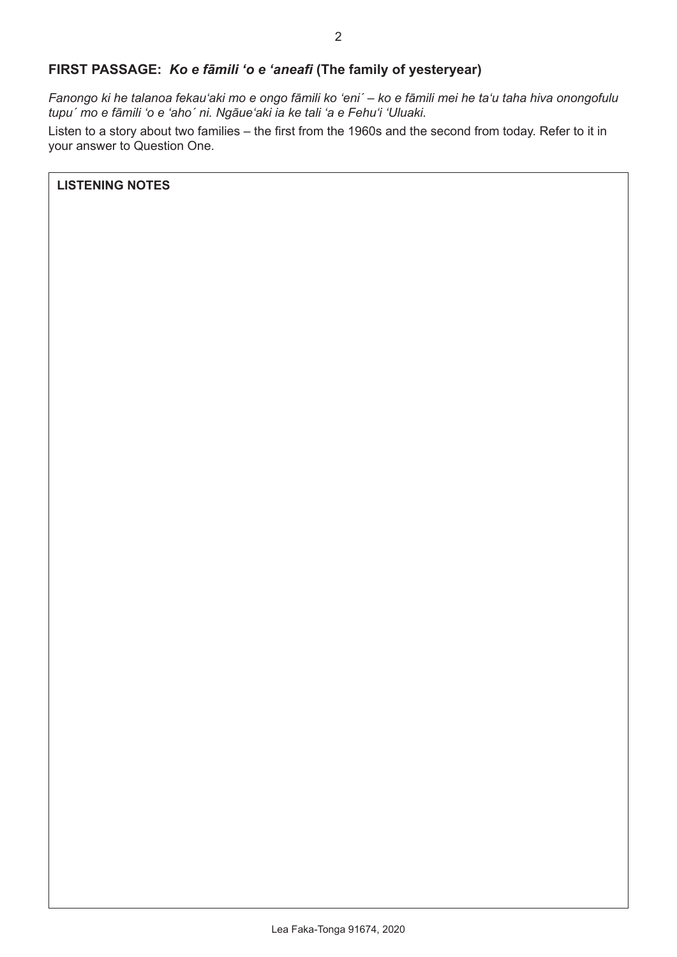## **FIRST PASSAGE:** *Ko e fāmili ʻo e ʻaneafi* **(The family of yesteryear)**

*Fanongo ki he talanoa fekauʻaki mo e ongo fāmili ko ʻeni´ – ko e fāmili mei he taʻu taha hiva onongofulu tupu´ mo e fāmili ʻo e ʻaho´ ni. Ngāueʻaki ia ke tali ʻa e Fehuʻi ʻUluaki.*

Listen to a story about two families – the first from the 1960s and the second from today. Refer to it in your answer to Question One.

**LISTENING NOTES**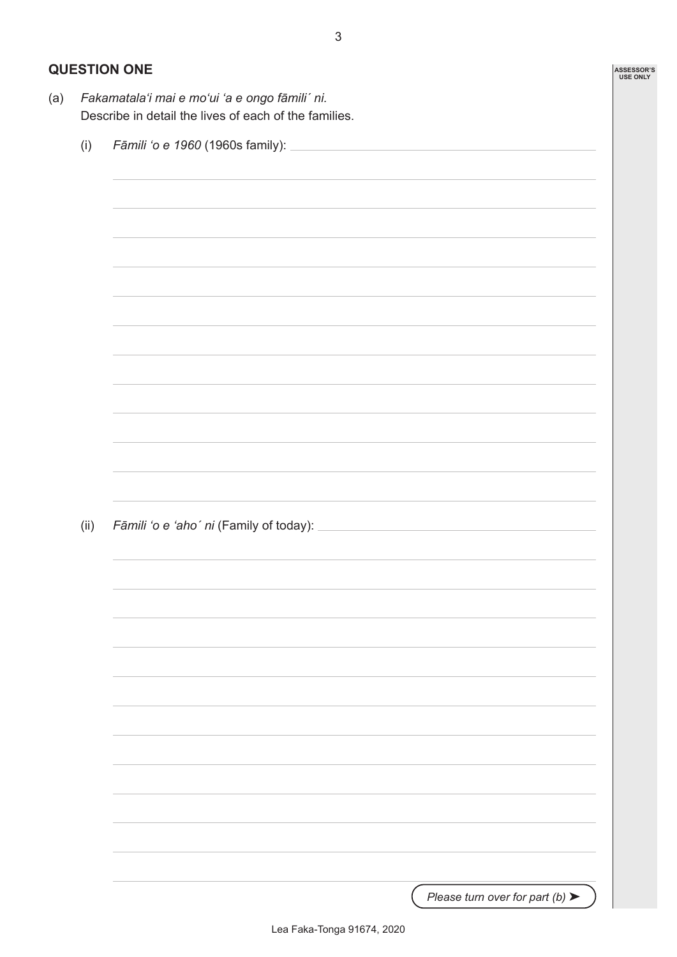## **QUESTION ONE**

| (i)  | Fāmili 'o e 1960 (1960s family): _                                                                                    |  |  |  |  |
|------|-----------------------------------------------------------------------------------------------------------------------|--|--|--|--|
|      |                                                                                                                       |  |  |  |  |
|      |                                                                                                                       |  |  |  |  |
|      | <u> 1989 - Jan Samuel Barbara, margaret eta bat zuen 1989an bat zuen bat zuen bat zuen bat zuen bat zuen bat zuen</u> |  |  |  |  |
|      |                                                                                                                       |  |  |  |  |
|      |                                                                                                                       |  |  |  |  |
|      |                                                                                                                       |  |  |  |  |
|      |                                                                                                                       |  |  |  |  |
|      |                                                                                                                       |  |  |  |  |
|      |                                                                                                                       |  |  |  |  |
|      |                                                                                                                       |  |  |  |  |
|      | <u> 1989 - Johann Stoff, amerikansk politiker (d. 1989)</u>                                                           |  |  |  |  |
|      |                                                                                                                       |  |  |  |  |
|      |                                                                                                                       |  |  |  |  |
|      |                                                                                                                       |  |  |  |  |
|      |                                                                                                                       |  |  |  |  |
|      |                                                                                                                       |  |  |  |  |
|      |                                                                                                                       |  |  |  |  |
|      |                                                                                                                       |  |  |  |  |
|      |                                                                                                                       |  |  |  |  |
|      |                                                                                                                       |  |  |  |  |
|      |                                                                                                                       |  |  |  |  |
|      |                                                                                                                       |  |  |  |  |
|      |                                                                                                                       |  |  |  |  |
| (ii) |                                                                                                                       |  |  |  |  |
|      |                                                                                                                       |  |  |  |  |
|      |                                                                                                                       |  |  |  |  |
|      |                                                                                                                       |  |  |  |  |
|      |                                                                                                                       |  |  |  |  |

3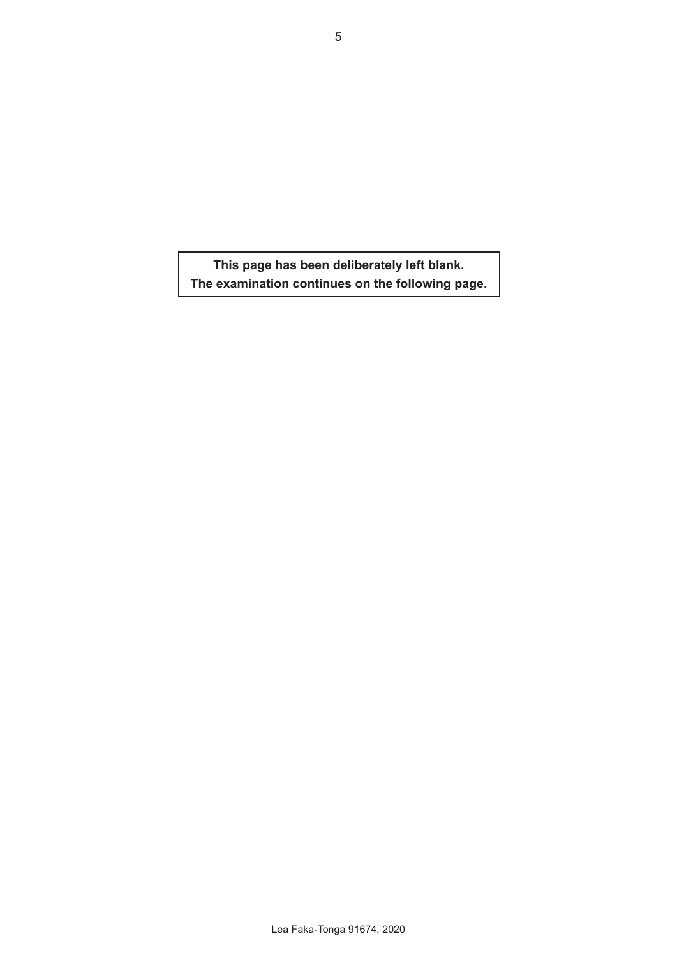**This page has been deliberately left blank. The examination continues on the following page.**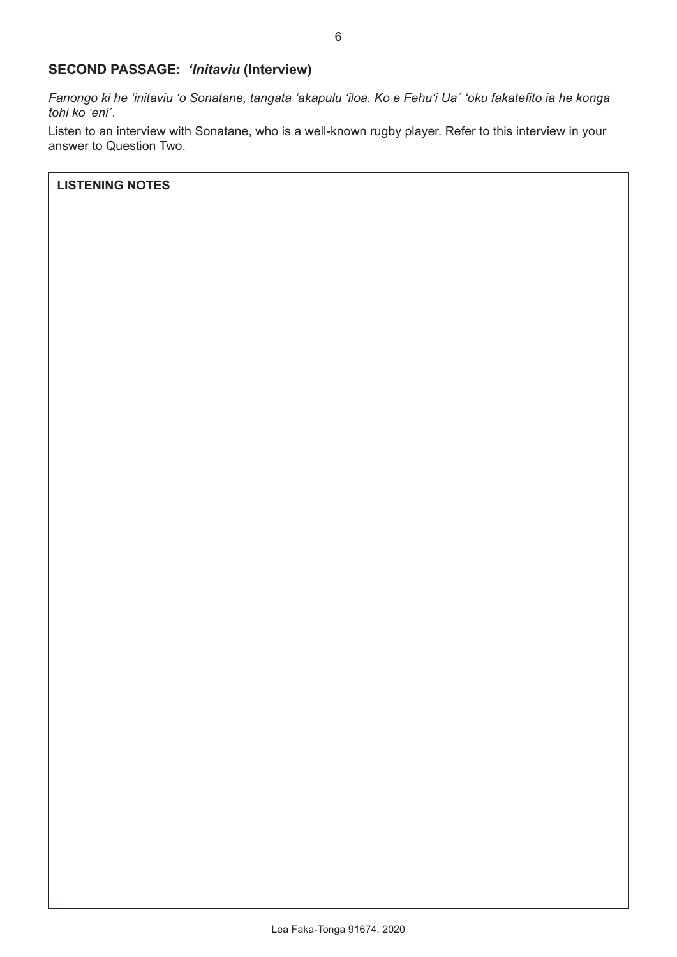#### **SECOND PASSAGE:** *'Initaviu* **(Interview)**

*Fanongo ki he ʻinitaviu ʻo Sonatane, tangata ʻakapulu ʻiloa. Ko e Fehuʻi Ua´ ʻoku fakatefito ia he konga tohi ko ʻeni´.*

Listen to an interview with Sonatane, who is a well-known rugby player. Refer to this interview in your answer to Question Two.

**LISTENING NOTES**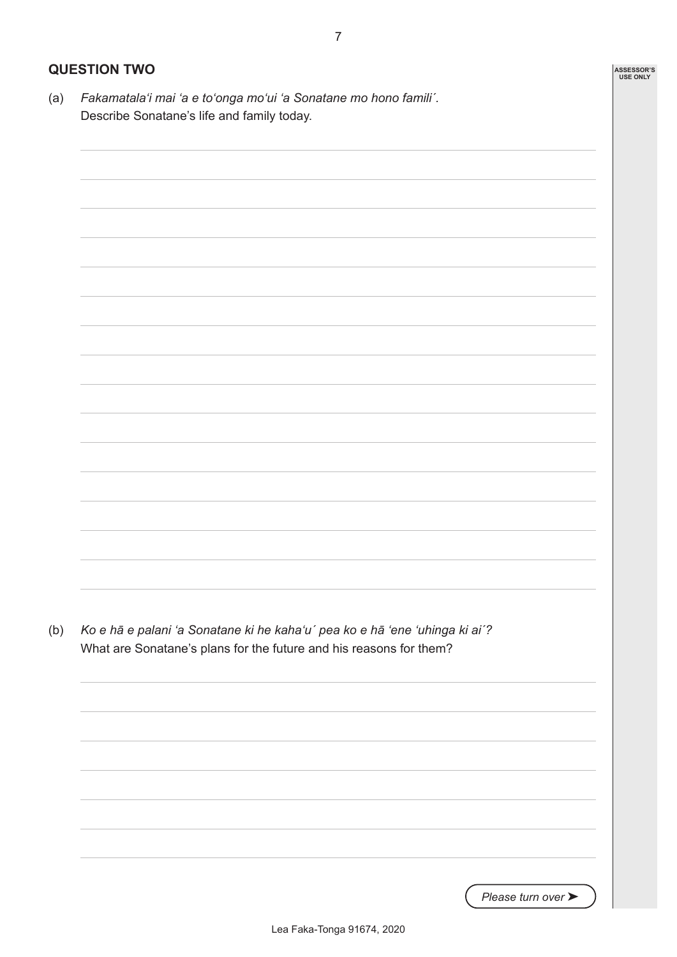(a) *Fakamatalaʻi mai ʻa e toʻonga moʻui ʻa Sonatane mo hono famili´.* Describe Sonatane's life and family today.



*Please turn over* ➤

**ASSESSOR'S USE ONLY**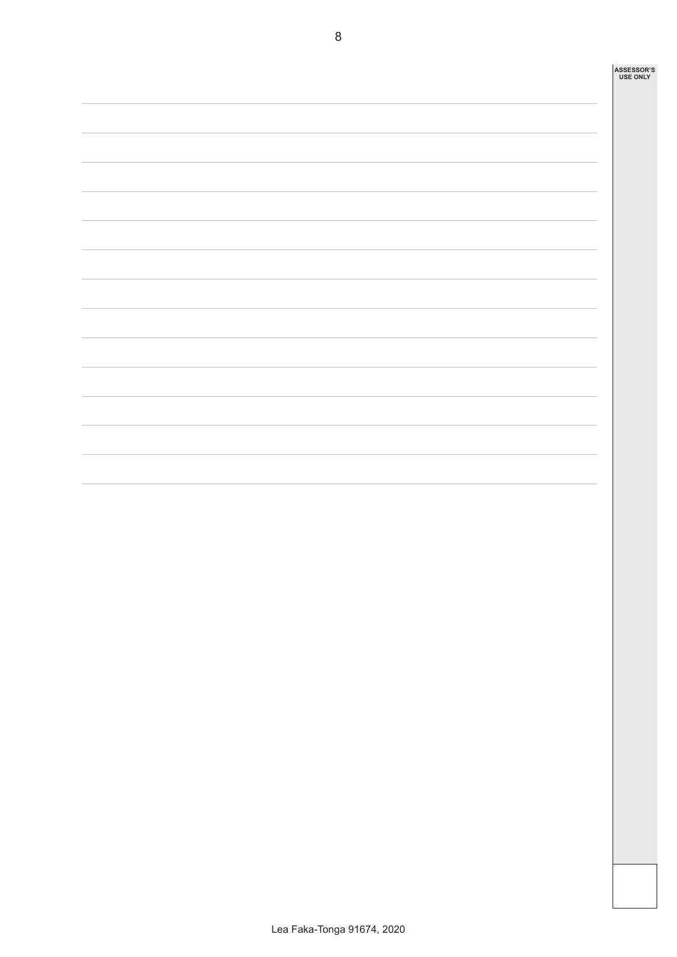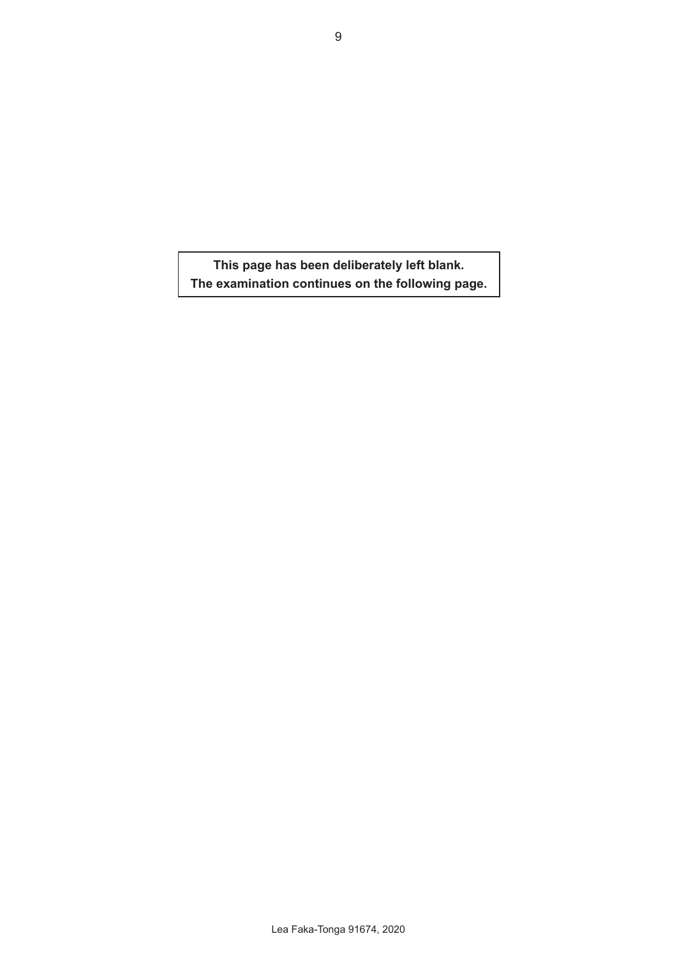**This page has been deliberately left blank. The examination continues on the following page.**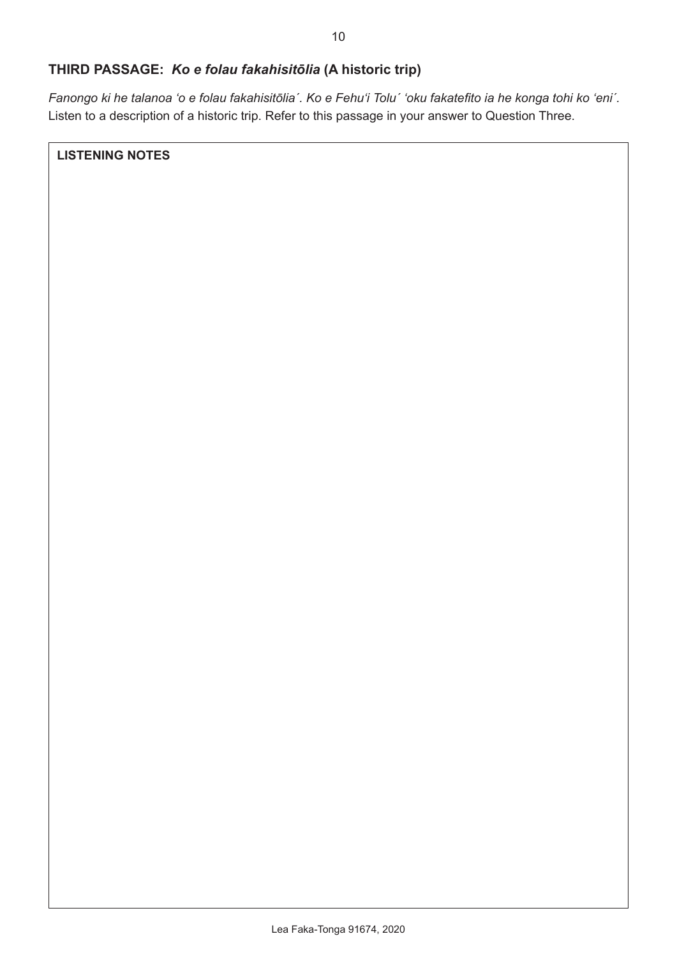#### **THIRD PASSAGE:** *Ko e folau fakahisitōlia* **(A historic trip)**

*Fanongo ki he talanoa ʻo e folau fakahisitōlia´. Ko e Fehuʻi Tolu´ ʻoku fakatefito ia he konga tohi ko ʻeni´.* Listen to a description of a historic trip. Refer to this passage in your answer to Question Three.

**LISTENING NOTES**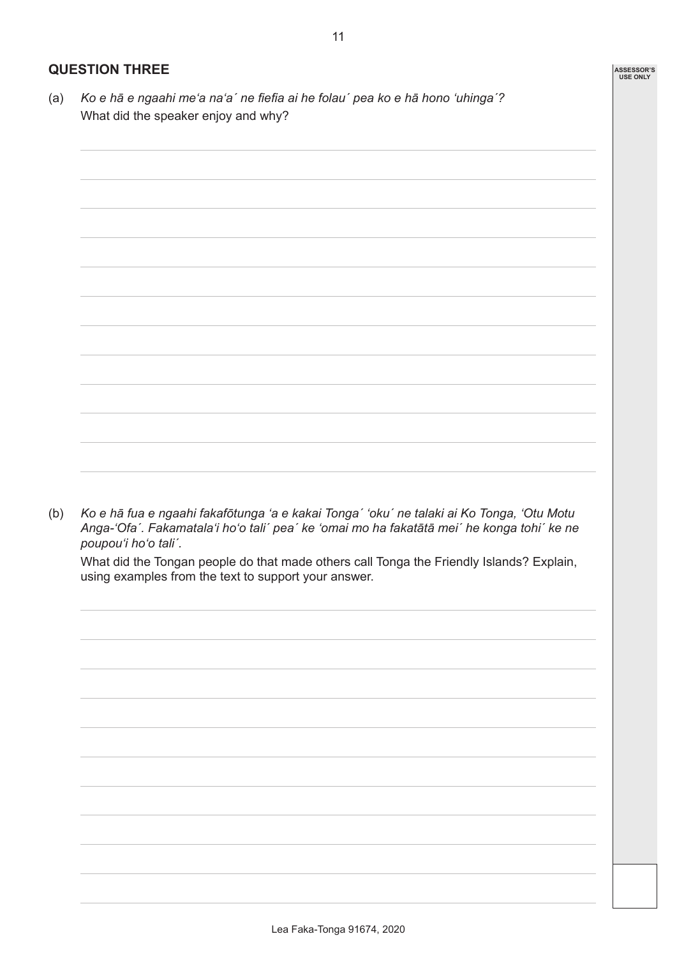## **QUESTION THREE**

(a) *Ko e hā e ngaahi meʻa naʻa´ ne fiefia ai he folau´ pea ko e hā hono ʻuhinga´?* What did the speaker enjoy and why?



(b) *Ko e hā fua e ngaahi fakafōtunga ʻa e kakai Tonga´ ʻoku´ ne talaki ai Ko Tonga, ʻOtu Motu Anga-ʻOfa´. Fakamatalaʻi hoʻo tali´ pea´ ke ʻomai mo ha fakatātā mei´ he konga tohi´ ke ne poupouʻi hoʻo tali´.*

What did the Tongan people do that made others call Tonga the Friendly Islands? Explain, using examples from the text to support your answer.

**ASSESSOR'S USE ONLY**